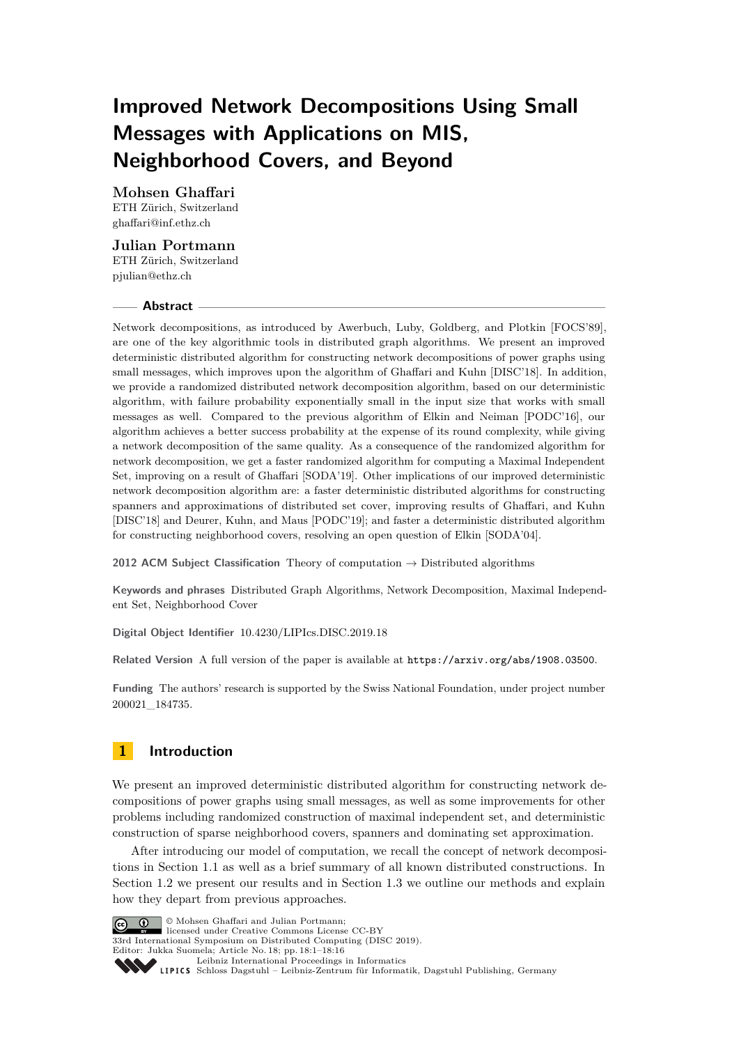# **Improved Network Decompositions Using Small Messages with Applications on MIS, Neighborhood Covers, and Beyond**

**Mohsen Ghaffari** ETH Zürich, Switzerland [ghaffari@inf.ethz.ch](mailto:ghaffari@inf.ethz.ch)

## **Julian Portmann**

ETH Zürich, Switzerland [pjulian@ethz.ch](mailto:pjulian@ethz.ch)

## **Abstract**

Network decompositions, as introduced by Awerbuch, Luby, Goldberg, and Plotkin [FOCS'89], are one of the key algorithmic tools in distributed graph algorithms. We present an improved deterministic distributed algorithm for constructing network decompositions of power graphs using small messages, which improves upon the algorithm of Ghaffari and Kuhn [DISC'18]. In addition, we provide a randomized distributed network decomposition algorithm, based on our deterministic algorithm, with failure probability exponentially small in the input size that works with small messages as well. Compared to the previous algorithm of Elkin and Neiman [PODC'16], our algorithm achieves a better success probability at the expense of its round complexity, while giving a network decomposition of the same quality. As a consequence of the randomized algorithm for network decomposition, we get a faster randomized algorithm for computing a Maximal Independent Set, improving on a result of Ghaffari [SODA'19]. Other implications of our improved deterministic network decomposition algorithm are: a faster deterministic distributed algorithms for constructing spanners and approximations of distributed set cover, improving results of Ghaffari, and Kuhn [DISC'18] and Deurer, Kuhn, and Maus [PODC'19]; and faster a deterministic distributed algorithm for constructing neighborhood covers, resolving an open question of Elkin [SODA'04].

**2012 ACM Subject Classification** Theory of computation → Distributed algorithms

**Keywords and phrases** Distributed Graph Algorithms, Network Decomposition, Maximal Independent Set, Neighborhood Cover

**Digital Object Identifier** [10.4230/LIPIcs.DISC.2019.18](https://doi.org/10.4230/LIPIcs.DISC.2019.18)

**Related Version** A full version of the paper is available at <https://arxiv.org/abs/1908.03500>.

**Funding** The authors' research is supported by the Swiss National Foundation, under project number 200021\_184735.

## **1 Introduction**

We present an improved deterministic distributed algorithm for constructing network decompositions of power graphs using small messages, as well as some improvements for other problems including randomized construction of maximal independent set, and deterministic construction of sparse neighborhood covers, spanners and dominating set approximation.

After introducing our model of computation, we recall the concept of network decompositions in Section [1.1](#page-1-0) as well as a brief summary of all known distributed constructions. In Section [1.2](#page-2-0) we present our results and in Section [1.3](#page-4-0) we outline our methods and explain how they depart from previous approaches.



© Mohsen Ghaffari and Julian Portmann; licensed under Creative Commons License CC-BY

33rd International Symposium on Distributed Computing (DISC 2019).

Editor: Jukka Suomela; Article No. 18; pp. 18:1–18[:16](#page-15-0) [Leibniz International Proceedings in Informatics](https://www.dagstuhl.de/lipics/)

Leibniz international riveredings in miximetrix<br>
LIPICS [Schloss Dagstuhl – Leibniz-Zentrum für Informatik, Dagstuhl Publishing, Germany](https://www.dagstuhl.de)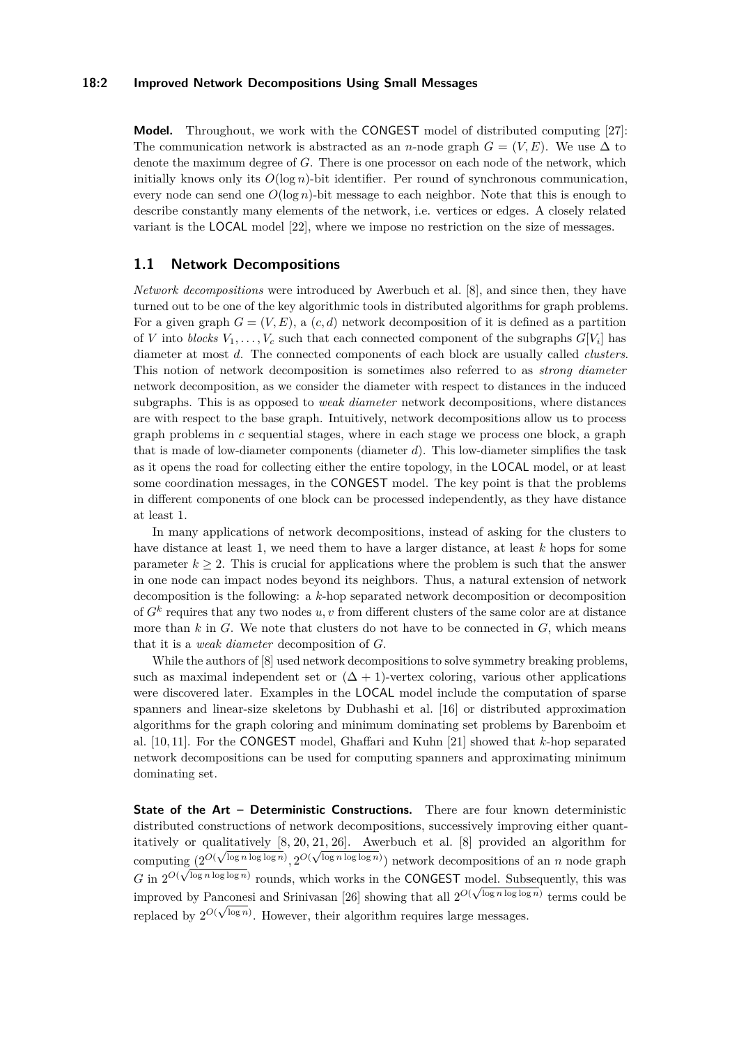### **18:2 Improved Network Decompositions Using Small Messages**

**Model.** Throughout, we work with the CONGEST model of distributed computing [\[27\]](#page-15-1): The communication network is abstracted as an *n*-node graph  $G = (V, E)$ . We use  $\Delta$  to denote the maximum degree of *G*. There is one processor on each node of the network, which initially knows only its  $O(\log n)$ -bit identifier. Per round of synchronous communication, every node can send one  $O(\log n)$ -bit message to each neighbor. Note that this is enough to describe constantly many elements of the network, i.e. vertices or edges. A closely related variant is the LOCAL model [\[22\]](#page-15-2), where we impose no restriction on the size of messages.

## <span id="page-1-0"></span>**1.1 Network Decompositions**

*Network decompositions* were introduced by Awerbuch et al. [\[8\]](#page-14-0), and since then, they have turned out to be one of the key algorithmic tools in distributed algorithms for graph problems. For a given graph  $G = (V, E)$ , a  $(c, d)$  network decomposition of it is defined as a partition of *V* into *blocks*  $V_1, \ldots, V_c$  such that each connected component of the subgraphs  $G[V_i]$  has diameter at most *d*. The connected components of each block are usually called *clusters*. This notion of network decomposition is sometimes also referred to as *strong diameter* network decomposition, as we consider the diameter with respect to distances in the induced subgraphs. This is as opposed to *weak diameter* network decompositions, where distances are with respect to the base graph. Intuitively, network decompositions allow us to process graph problems in *c* sequential stages, where in each stage we process one block, a graph that is made of low-diameter components (diameter *d*). This low-diameter simplifies the task as it opens the road for collecting either the entire topology, in the LOCAL model, or at least some coordination messages, in the CONGEST model. The key point is that the problems in different components of one block can be processed independently, as they have distance at least 1.

In many applications of network decompositions, instead of asking for the clusters to have distance at least 1, we need them to have a larger distance, at least *k* hops for some parameter  $k \geq 2$ . This is crucial for applications where the problem is such that the answer in one node can impact nodes beyond its neighbors. Thus, a natural extension of network decomposition is the following: a *k*-hop separated network decomposition or decomposition of *G<sup>k</sup>* requires that any two nodes *u, v* from different clusters of the same color are at distance more than  $k$  in  $G$ . We note that clusters do not have to be connected in  $G$ , which means that it is a *weak diameter* decomposition of *G*.

While the authors of  $[8]$  used network decompositions to solve symmetry breaking problems, such as maximal independent set or  $(\Delta + 1)$ -vertex coloring, various other applications were discovered later. Examples in the LOCAL model include the computation of sparse spanners and linear-size skeletons by Dubhashi et al. [\[16\]](#page-15-3) or distributed approximation algorithms for the graph coloring and minimum dominating set problems by Barenboim et al. [\[10,](#page-14-1) [11\]](#page-14-2). For the CONGEST model, Ghaffari and Kuhn [\[21\]](#page-15-4) showed that *k*-hop separated network decompositions can be used for computing spanners and approximating minimum dominating set.

**State of the Art – Deterministic Constructions.** There are four known deterministic distributed constructions of network decompositions, successively improving either quantitatively or qualitatively  $[8, 20, 21, 26]$  $[8, 20, 21, 26]$  $[8, 20, 21, 26]$  $[8, 20, 21, 26]$ . Awerbuch et al. [\[8\]](#page-14-0) provided an algorithm for computing  $(2^{O(\sqrt{\log n \log \log n})}, 2^{O(\sqrt{\log n \log \log n})})$  network decompositions of an *n* node graph G in  $2^{O(\sqrt{\log n \log \log n})}$  rounds, which works in the CONGEST model. Subsequently, this was improved by Panconesi and Srinivasan [\[26\]](#page-15-6) showing that all  $2^{O(\sqrt{\log n \log \log n})}$  terms could be replaced by  $2^{O(\sqrt{\log n})}$ . However, their algorithm requires large messages.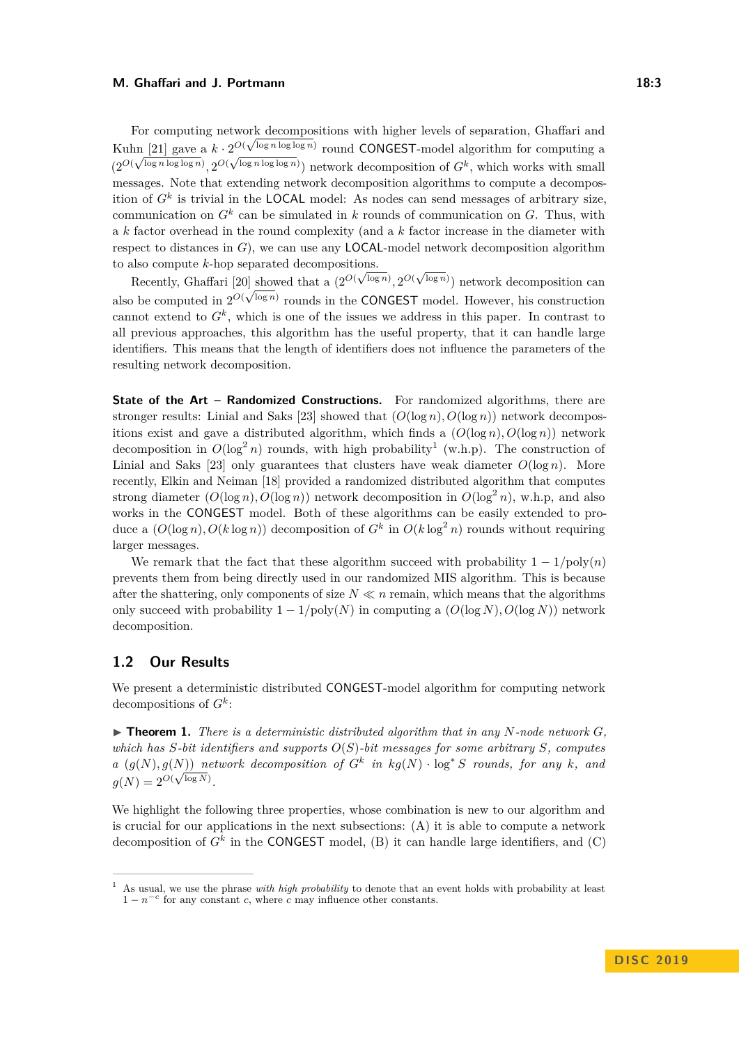For computing network decompositions with higher levels of separation, Ghaffari and Kuhn [\[21\]](#page-15-4) gave a  $k \cdot 2^{O(\sqrt{\log n \log \log n})}$  round CONGEST-model algorithm for computing a  $(2^{O(\sqrt{\log n \log \log n})}, 2^{O(\sqrt{\log n \log \log n})})$  network decomposition of  $G^k$ , which works with small messages. Note that extending network decomposition algorithms to compute a decomposition of *G<sup>k</sup>* is trivial in the LOCAL model: As nodes can send messages of arbitrary size, communication on  $G^k$  can be simulated in *k* rounds of communication on  $G$ . Thus, with a *k* factor overhead in the round complexity (and a *k* factor increase in the diameter with respect to distances in *G*), we can use any LOCAL-model network decomposition algorithm to also compute *k*-hop separated decompositions. √

has compute  $\kappa$ -nop separated decompositions.<br>Recently, Ghaffari [\[20\]](#page-15-5) showed that a  $(2^{O(\sqrt{\log n})}, 2^{O(\sqrt{\log n})})$  network decomposition can also be computed in  $2^{O(\sqrt{\log n})}$  rounds in the CONGEST model. However, his construction cannot extend to  $G^k$ , which is one of the issues we address in this paper. In contrast to all previous approaches, this algorithm has the useful property, that it can handle large identifiers. This means that the length of identifiers does not influence the parameters of the resulting network decomposition.

**State of the Art – Randomized Constructions.** For randomized algorithms, there are stronger results: Linial and Saks [\[23\]](#page-15-7) showed that  $(O(\log n), O(\log n))$  network decompositions exist and gave a distributed algorithm, which finds a  $(O(\log n), O(\log n))$  network decomposition in  $O(\log^2 n)$  rounds, with high probability<sup>[1](#page-2-1)</sup> (w.h.p). The construction of Linial and Saks [\[23\]](#page-15-7) only guarantees that clusters have weak diameter  $O(\log n)$ . More recently, Elkin and Neiman [\[18\]](#page-15-8) provided a randomized distributed algorithm that computes strong diameter  $(O(\log n), O(\log n))$  network decomposition in  $O(\log^2 n)$ , w.h.p, and also works in the CONGEST model. Both of these algorithms can be easily extended to produce a  $(O(\log n), O(k \log n))$  decomposition of  $G^k$  in  $O(k \log^2 n)$  rounds without requiring larger messages.

We remark that the fact that these algorithm succeed with probability  $1 - 1/\text{poly}(n)$ prevents them from being directly used in our randomized MIS algorithm. This is because after the shattering, only components of size  $N \ll n$  remain, which means that the algorithms only succeed with probability  $1 - 1/\text{poly}(N)$  in computing a  $(O(\log N), O(\log N))$  network decomposition.

## <span id="page-2-0"></span>**1.2 Our Results**

We present a deterministic distributed CONGEST-model algorithm for computing network decompositions of *G<sup>k</sup>* :

<span id="page-2-2"></span> $\triangleright$  **Theorem 1.** There is a deterministic distributed algorithm that in any N-node network  $G$ , *which has S-bit identifiers and supports O*(*S*)*-bit messages for some arbitrary S, computes a*  $(g(N), g(N))$  *network decomposition of*  $G^k$  *in*  $kg(N) \cdot \log^* S$  *rounds, for any k, and*  $g(N) = 2^{O(\sqrt{\log N})}.$ 

We highlight the following three properties, whose combination is new to our algorithm and is crucial for our applications in the next subsections: (A) it is able to compute a network decomposition of  $G^k$  in the CONGEST model, (B) it can handle large identifiers, and (C)

<span id="page-2-1"></span><sup>1</sup> As usual, we use the phrase *with high probability* to denote that an event holds with probability at least  $1 - n^{-c}$  for any constant *c*, where *c* may influence other constants.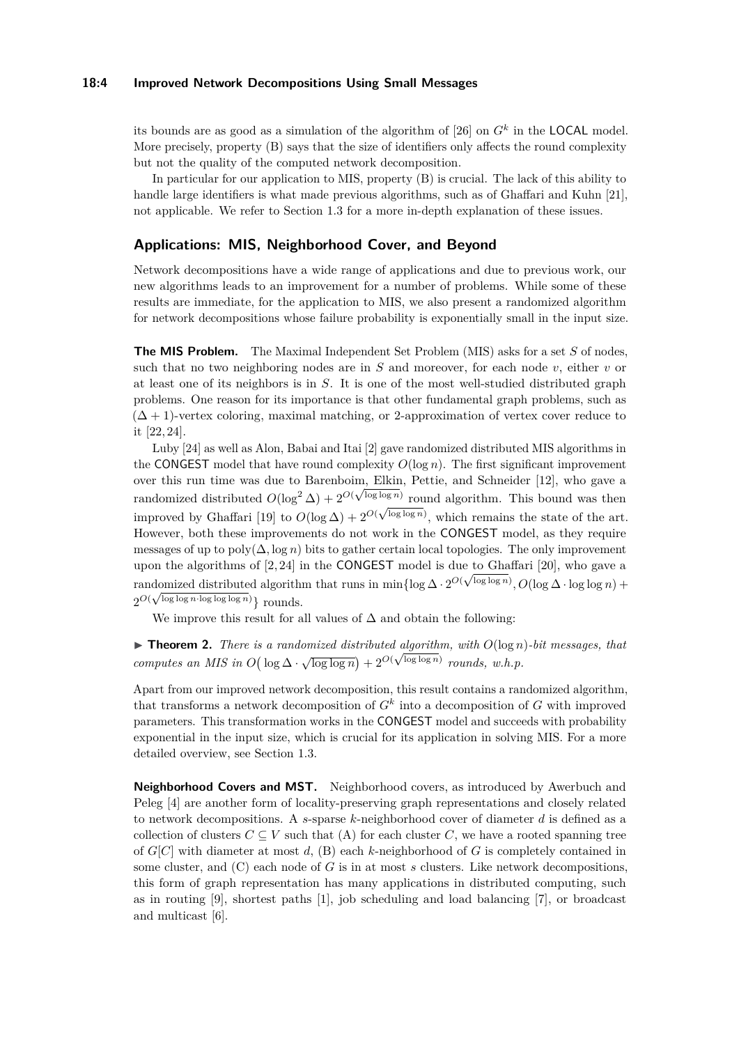### **18:4 Improved Network Decompositions Using Small Messages**

its bounds are as good as a simulation of the algorithm of [\[26\]](#page-15-6) on  $G<sup>k</sup>$  in the LOCAL model. More precisely, property (B) says that the size of identifiers only affects the round complexity but not the quality of the computed network decomposition.

In particular for our application to MIS, property (B) is crucial. The lack of this ability to handle large identifiers is what made previous algorithms, such as of Ghaffari and Kuhn [\[21\]](#page-15-4), not applicable. We refer to Section [1.3](#page-4-0) for a more in-depth explanation of these issues.

## **Applications: MIS, Neighborhood Cover, and Beyond**

Network decompositions have a wide range of applications and due to previous work, our new algorithms leads to an improvement for a number of problems. While some of these results are immediate, for the application to MIS, we also present a randomized algorithm for network decompositions whose failure probability is exponentially small in the input size.

**The MIS Problem.** The Maximal Independent Set Problem (MIS) asks for a set *S* of nodes, such that no two neighboring nodes are in *S* and moreover, for each node *v*, either *v* or at least one of its neighbors is in *S*. It is one of the most well-studied distributed graph problems. One reason for its importance is that other fundamental graph problems, such as  $(\Delta + 1)$ -vertex coloring, maximal matching, or 2-approximation of vertex cover reduce to it [\[22,](#page-15-2) [24\]](#page-15-9).

Luby [\[24\]](#page-15-9) as well as Alon, Babai and Itai [\[2\]](#page-14-3) gave randomized distributed MIS algorithms in the CONGEST model that have round complexity  $O(\log n)$ . The first significant improvement over this run time was due to Barenboim, Elkin, Pettie, and Schneider [\[12\]](#page-15-10), who gave a randomized distributed  $O(\log^2 \Delta) + 2^{O(\sqrt{\log \log n})}$  round algorithm. This bound was then improved by Ghaffari [\[19\]](#page-15-11) to  $O(\log \Delta) + 2^{O(\Delta)}$  $\sqrt{\frac{\log \log n}{n}}$ , which remains the state of the art. However, both these improvements do not work in the CONGEST model, as they require messages of up to  $poly(\Delta, \log n)$  bits to gather certain local topologies. The only improvement upon the algorithms of  $[2, 24]$  $[2, 24]$  in the CONGEST model is due to Ghaffari  $[20]$ , who gave a randomized distributed algorithm that runs in min $\{\log \Delta \cdot 2^{O(\sqrt{\log \log n})}, O(\log \Delta \cdot \log \log n) + \}$  $2^{O(\sqrt{\log \log n}\cdot \log \log \log n)}\}$  rounds.

We improve this result for all values of  $\Delta$  and obtain the following:

 $\blacktriangleright$  **Theorem 2.** *There is a randomized distributed algorithm, with*  $O(\log n)$ *-bit messages, that computes an MIS in*  $O(\log \Delta \cdot \sqrt{\log \log n}) + 2^{O(\sqrt{\log \log n})}$  *rounds, w.h.p.* 

Apart from our improved network decomposition, this result contains a randomized algorithm, that transforms a network decomposition of  $G<sup>k</sup>$  into a decomposition of  $G$  with improved parameters. This transformation works in the CONGEST model and succeeds with probability exponential in the input size, which is crucial for its application in solving MIS. For a more detailed overview, see Section [1.3.](#page-4-0)

**Neighborhood Covers and MST.** Neighborhood covers, as introduced by Awerbuch and Peleg [\[4\]](#page-14-4) are another form of locality-preserving graph representations and closely related to network decompositions. A *s*-sparse *k*-neighborhood cover of diameter *d* is defined as a collection of clusters  $C \subseteq V$  such that (A) for each cluster *C*, we have a rooted spanning tree of *G*[*C*] with diameter at most *d*, (B) each *k*-neighborhood of *G* is completely contained in some cluster, and (C) each node of *G* is in at most *s* clusters. Like network decompositions, this form of graph representation has many applications in distributed computing, such as in routing [\[9\]](#page-14-5), shortest paths [\[1\]](#page-14-6), job scheduling and load balancing [\[7\]](#page-14-7), or broadcast and multicast [\[6\]](#page-14-8).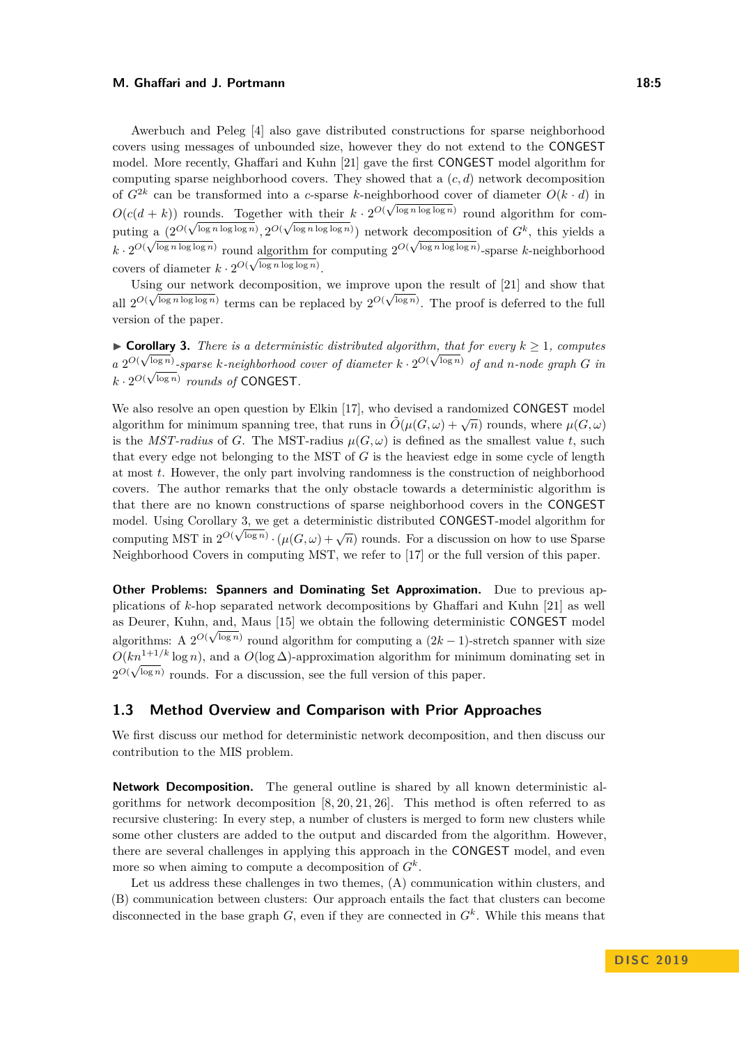Awerbuch and Peleg [\[4\]](#page-14-4) also gave distributed constructions for sparse neighborhood covers using messages of unbounded size, however they do not extend to the CONGEST model. More recently, Ghaffari and Kuhn [\[21\]](#page-15-4) gave the first CONGEST model algorithm for computing sparse neighborhood covers. They showed that a (*c, d*) network decomposition of  $G^{2k}$  can be transformed into a *c*-sparse *k*-neighborhood cover of diameter  $O(k \cdot d)$  in  $O(c(d+k))$  rounds. Together with their  $k \cdot 2^{O(\sqrt{\log n \log \log n})}$  round algorithm for computing  $a \left( 2^{O(\sqrt{\log n \log \log n})}, 2^{O(\sqrt{\log n \log \log n})} \right)$  network decomposition of  $G^k$ , this yields a  $k \cdot 2^{O(\sqrt{\log n \log \log n})}$  round algorithm for computing  $2^{O(\sqrt{\log n \log \log n})}$ -sparse *k*-neighborhood covers of diameter  $k \cdot 2^{O(\sqrt{\log n \log \log n})}$ .

Using our network decomposition, we improve upon the result of  $[21]$  and show that all  $2^{O(\sqrt{\log n \log \log n})}$  terms can be replaced by  $2^{O(\sqrt{\log n})}$ . The proof is deferred to the full version of the paper.

<span id="page-4-1"></span>► **Corollary 3.** *There is a deterministic distributed algorithm, that for every*  $k \geq 1$ *, computes a*  $2^{O(\sqrt{\log n})}$ -sparse *k*-neighborhood cover of diameter  $k \cdot 2^{O(\sqrt{\log n})}$  of and *n*-node graph *G* in  $k \cdot 2^{O(\sqrt{\log n})}$  *rounds of* CONGEST.

We also resolve an open question by Elkin [\[17\]](#page-15-12), who devised a randomized CONGEST model algorithm for minimum spanning tree, that runs in  $\tilde{O}(\mu(G,\omega) + \sqrt{n})$  rounds, where  $\mu(G,\omega)$ is the *MST-radius* of *G*. The MST-radius  $\mu(G, \omega)$  is defined as the smallest value *t*, such that every edge not belonging to the MST of *G* is the heaviest edge in some cycle of length at most *t*. However, the only part involving randomness is the construction of neighborhood covers. The author remarks that the only obstacle towards a deterministic algorithm is that there are no known constructions of sparse neighborhood covers in the CONGEST model. Using Corollary [3,](#page-4-1) we get a deterministic distributed CONGEST-model algorithm for computing MST in  $2^{O(\sqrt{\log n})} \cdot (\mu(G, \omega) + \sqrt{n})$  rounds. For a discussion on how to use Sparse Neighborhood Covers in computing MST, we refer to [\[17\]](#page-15-12) or the full version of this paper.

**Other Problems: Spanners and Dominating Set Approximation.** Due to previous applications of *k*-hop separated network decompositions by Ghaffari and Kuhn [\[21\]](#page-15-4) as well as Deurer, Kuhn, and, Maus [\[15\]](#page-15-13) we obtain the following deterministic CONGEST model algorithms: A  $2^{O(\sqrt{\log n})}$  round algorithm for computing a  $(2k-1)$ -stretch spanner with size  $O(kn^{1+1/k} \log n)$ , and a  $O(\log \Delta)$ -approximation algorithm for minimum dominating set in  $2^{O(\sqrt{\log n})}$  rounds. For a discussion, see the full version of this paper.

## <span id="page-4-0"></span>**1.3 Method Overview and Comparison with Prior Approaches**

We first discuss our method for deterministic network decomposition, and then discuss our contribution to the MIS problem.

**Network Decomposition.** The general outline is shared by all known deterministic algorithms for network decomposition  $[8, 20, 21, 26]$  $[8, 20, 21, 26]$  $[8, 20, 21, 26]$  $[8, 20, 21, 26]$ . This method is often referred to as recursive clustering: In every step, a number of clusters is merged to form new clusters while some other clusters are added to the output and discarded from the algorithm. However, there are several challenges in applying this approach in the CONGEST model, and even more so when aiming to compute a decomposition of *G<sup>k</sup>* .

Let us address these challenges in two themes, (A) communication within clusters, and (B) communication between clusters: Our approach entails the fact that clusters can become disconnected in the base graph *G*, even if they are connected in *G<sup>k</sup>* . While this means that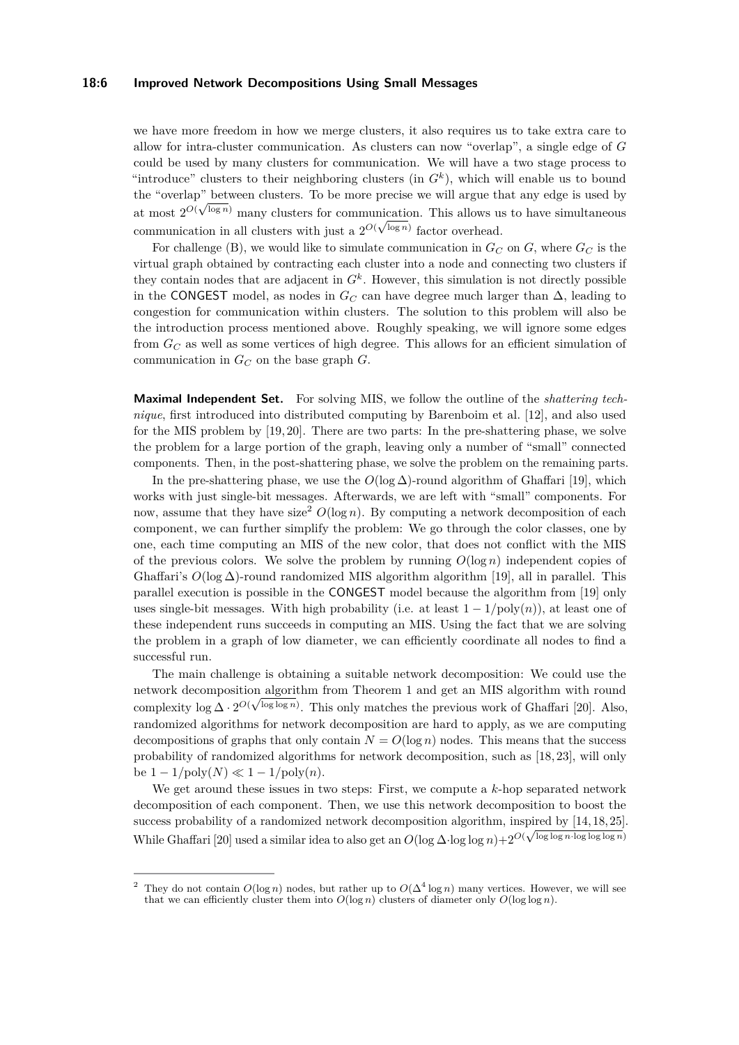#### **18:6 Improved Network Decompositions Using Small Messages**

we have more freedom in how we merge clusters, it also requires us to take extra care to allow for intra-cluster communication. As clusters can now "overlap", a single edge of *G* could be used by many clusters for communication. We will have a two stage process to "introduce" clusters to their neighboring clusters (in  $G<sup>k</sup>$ ), which will enable us to bound the "overlap" between clusters. To be more precise we will argue that any edge is used by at most  $2^{O(\sqrt{\log n})}$  many clusters for communication. This allows us to have simultaneous communication in all clusters with just a  $2^{O(\sqrt{\log n})}$  factor overhead.

For challenge (B), we would like to simulate communication in  $G_C$  on  $G$ , where  $G_C$  is the virtual graph obtained by contracting each cluster into a node and connecting two clusters if they contain nodes that are adjacent in  $G<sup>k</sup>$ . However, this simulation is not directly possible in the CONGEST model, as nodes in  $G_C$  can have degree much larger than  $\Delta$ , leading to congestion for communication within clusters. The solution to this problem will also be the introduction process mentioned above. Roughly speaking, we will ignore some edges from *G<sup>C</sup>* as well as some vertices of high degree. This allows for an efficient simulation of communication in *G<sup>C</sup>* on the base graph *G*.

**Maximal Independent Set.** For solving MIS, we follow the outline of the *shattering technique*, first introduced into distributed computing by Barenboim et al. [\[12\]](#page-15-10), and also used for the MIS problem by [\[19,](#page-15-11) [20\]](#page-15-5). There are two parts: In the pre-shattering phase, we solve the problem for a large portion of the graph, leaving only a number of "small" connected components. Then, in the post-shattering phase, we solve the problem on the remaining parts.

In the pre-shattering phase, we use the  $O(\log \Delta)$ -round algorithm of Ghaffari [\[19\]](#page-15-11), which works with just single-bit messages. Afterwards, we are left with "small" components. For now, assume that they have size<sup>[2](#page-5-0)</sup>  $O(\log n)$ . By computing a network decomposition of each component, we can further simplify the problem: We go through the color classes, one by one, each time computing an MIS of the new color, that does not conflict with the MIS of the previous colors. We solve the problem by running  $O(\log n)$  independent copies of Ghaffari's  $O(\log \Delta)$ -round randomized MIS algorithm algorithm [\[19\]](#page-15-11), all in parallel. This parallel execution is possible in the CONGEST model because the algorithm from [\[19\]](#page-15-11) only uses single-bit messages. With high probability (i.e. at least  $1 - 1/poly(n)$ ), at least one of these independent runs succeeds in computing an MIS. Using the fact that we are solving the problem in a graph of low diameter, we can efficiently coordinate all nodes to find a successful run.

The main challenge is obtaining a suitable network decomposition: We could use the network decomposition algorithm from Theorem [1](#page-2-2) and get an MIS algorithm with round complexity  $\log \Delta \cdot 2^{O(\sqrt{\log \log n})}$ . This only matches the previous work of Ghaffari [\[20\]](#page-15-5). Also, randomized algorithms for network decomposition are hard to apply, as we are computing decompositions of graphs that only contain  $N = O(\log n)$  nodes. This means that the success probability of randomized algorithms for network decomposition, such as [\[18,](#page-15-8) [23\]](#page-15-7), will only  $be 1 - 1/poly(N) \ll 1 - 1/poly(n).$ 

We get around these issues in two steps: First, we compute a *k*-hop separated network decomposition of each component. Then, we use this network decomposition to boost the success probability of a randomized network decomposition algorithm, inspired by  $[14, 18, 25]$  $[14, 18, 25]$  $[14, 18, 25]$ . While Ghaffari [\[20\]](#page-15-5) used a similar idea to also get an  $O(\log \Delta \cdot \log \log n) + 2^{O(\sqrt{\log \log n} \cdot \log \log \log n)}$ 

<span id="page-5-0"></span><sup>&</sup>lt;sup>2</sup> They do not contain  $O(\log n)$  nodes, but rather up to  $O(\Delta^4 \log n)$  many vertices. However, we will see that we can efficiently cluster them into  $O(\log n)$  clusters of diameter only  $O(\log \log n)$ .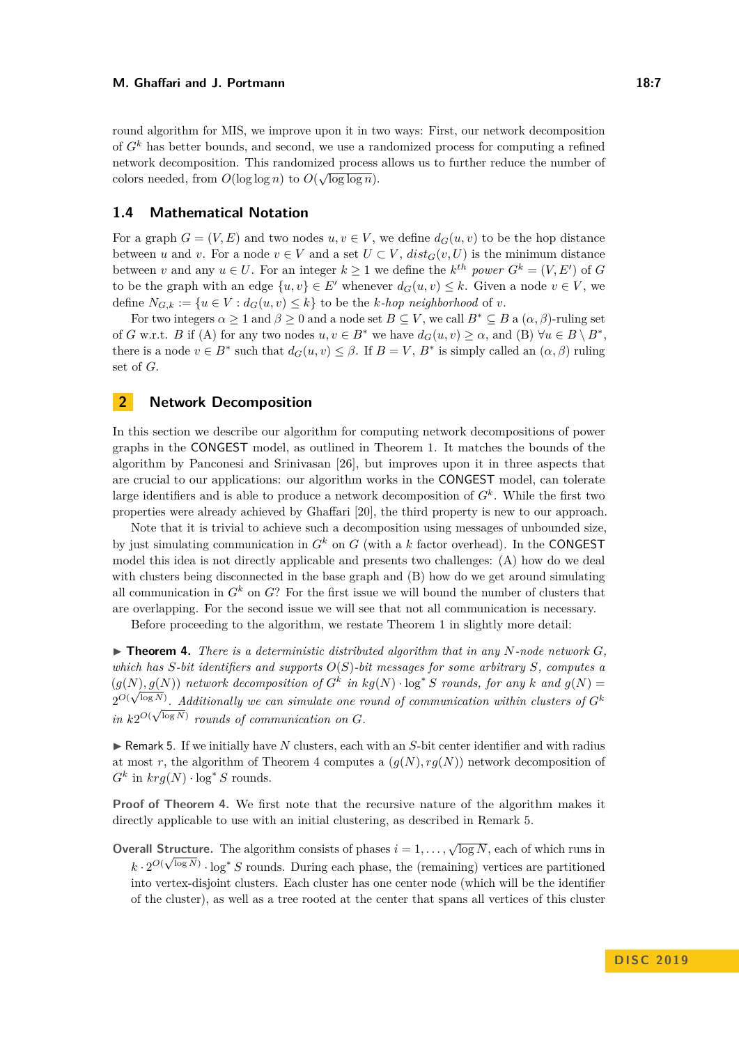round algorithm for MIS, we improve upon it in two ways: First, our network decomposition of *G<sup>k</sup>* has better bounds, and second, we use a randomized process for computing a refined network decomposition. This randomized process allows us to further reduce the number of colors needed, from  $O(\log \log n)$  to  $O(\sqrt{\log \log n})$ .

## **1.4 Mathematical Notation**

For a graph  $G = (V, E)$  and two nodes  $u, v \in V$ , we define  $d_G(u, v)$  to be the hop distance between *u* and *v*. For a node  $v \in V$  and a set  $U \subset V$ ,  $dist_G(v, U)$  is the minimum distance between *v* and any  $u \in U$ . For an integer  $k \geq 1$  we define the  $k^{th}$  *power*  $G^k = (V, E')$  of  $G$ to be the graph with an edge  $\{u, v\} \in E'$  whenever  $d_G(u, v) \leq k$ . Given a node  $v \in V$ , we define  $N_{G,k} := \{u \in V : d_G(u,v) \leq k\}$  to be the *k-hop neighborhood* of *v*.

For two integers  $\alpha \geq 1$  and  $\beta \geq 0$  and a node set  $B \subseteq V$ , we call  $B^* \subseteq B$  a  $(\alpha, \beta)$ -ruling set of *G* w.r.t. *B* if (A) for any two nodes  $u, v \in B^*$  we have  $d_G(u, v) \geq \alpha$ , and (B)  $\forall u \in B \setminus B^*$ , there is a node  $v \in B^*$  such that  $d_G(u, v) \leq \beta$ . If  $B = V$ ,  $B^*$  is simply called an  $(\alpha, \beta)$  ruling set of *G*.

## **2 Network Decomposition**

In this section we describe our algorithm for computing network decompositions of power graphs in the CONGEST model, as outlined in Theorem [1.](#page-2-2) It matches the bounds of the algorithm by Panconesi and Srinivasan [\[26\]](#page-15-6), but improves upon it in three aspects that are crucial to our applications: our algorithm works in the CONGEST model, can tolerate large identifiers and is able to produce a network decomposition of  $G<sup>k</sup>$ . While the first two properties were already achieved by Ghaffari [\[20\]](#page-15-5), the third property is new to our approach.

Note that it is trivial to achieve such a decomposition using messages of unbounded size, by just simulating communication in  $G^k$  on  $G$  (with a  $k$  factor overhead). In the CONGEST model this idea is not directly applicable and presents two challenges: (A) how do we deal with clusters being disconnected in the base graph and (B) how do we get around simulating all communication in  $G^k$  on  $G$ ? For the first issue we will bound the number of clusters that are overlapping. For the second issue we will see that not all communication is necessary.

Before proceeding to the algorithm, we restate Theorem [1](#page-2-2) in slightly more detail:

<span id="page-6-0"></span> $\triangleright$  **Theorem 4.** *There is a deterministic distributed algorithm that in any N*-node network  $G$ *, which has S-bit identifiers and supports O*(*S*)*-bit messages for some arbitrary S, computes a*  $(g(N), g(N))$  *network decomposition of*  $G^k$  *in*  $kg(N) \cdot \log^* S$  *rounds, for any k and*  $g(N) =$  $\mathcal{Q}^{O(\sqrt{\log N})}$ . Additionally we can simulate one round of communication within clusters of  $G^k$ in  $k2^{O(\sqrt{\log N})}$  rounds of communication on *G*.

<span id="page-6-1"></span>► Remark 5. If we initially have *N* clusters, each with an *S*-bit center identifier and with radius at most r, the algorithm of Theorem [4](#page-6-0) computes a  $(q(N), rq(N))$  network decomposition of  $G^k$  in  $krg(N) \cdot \log^* S$  rounds.

**Proof of Theorem [4.](#page-6-0)** We first note that the recursive nature of the algorithm makes it directly applicable to use with an initial clustering, as described in Remark [5.](#page-6-1)

**Overall Structure.** The algorithm consists of phases  $i = 1, ..., \sqrt{\log N}$ , each of which runs in  $k \cdot 2^{O(\sqrt{\log N})} \cdot \log^* S$  rounds. During each phase, the (remaining) vertices are partitioned into vertex-disjoint clusters. Each cluster has one center node (which will be the identifier of the cluster), as well as a tree rooted at the center that spans all vertices of this cluster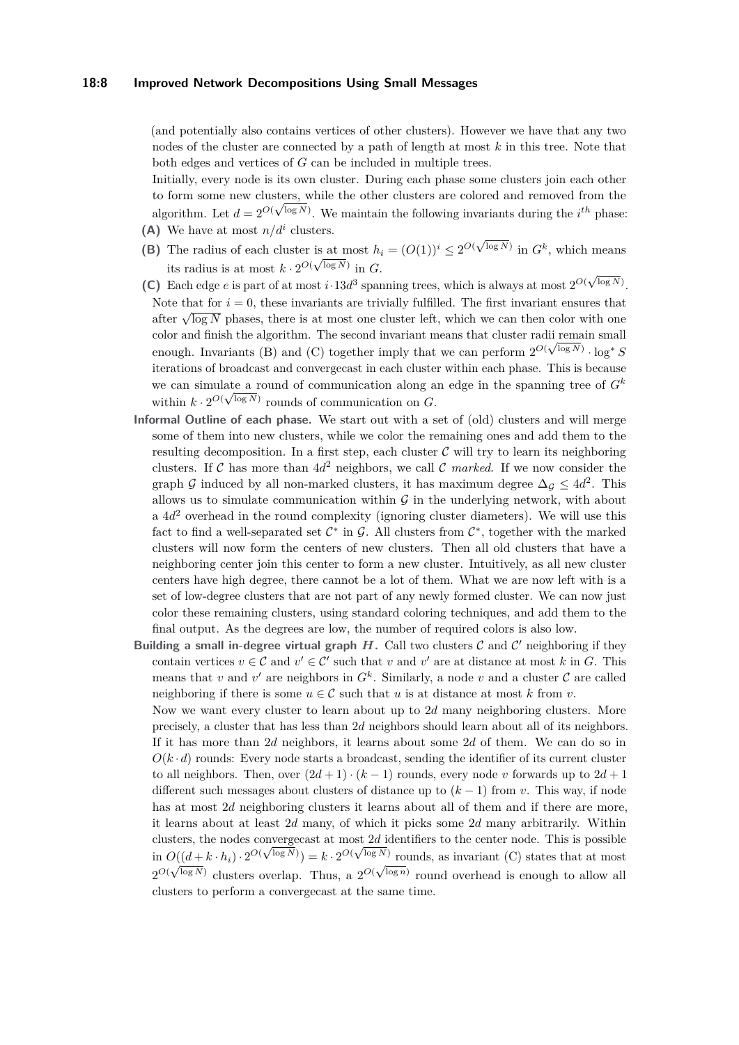#### **18:8 Improved Network Decompositions Using Small Messages**

(and potentially also contains vertices of other clusters). However we have that any two nodes of the cluster are connected by a path of length at most *k* in this tree. Note that both edges and vertices of *G* can be included in multiple trees.

Initially, every node is its own cluster. During each phase some clusters join each other to form some new clusters, while the other clusters are colored and removed from the algorithm. Let  $d = 2^{O(\sqrt{\log N})}$ . We maintain the following invariants during the *i*<sup>th</sup> phase: (A) We have at most  $n/d^i$  clusters.

- (B) The radius of each cluster is at most  $h_i = (O(1))^i \leq 2^{O(\sqrt{\log N})}$  in  $G^k$ , which means its radius is at most  $k \cdot 2^{O(\sqrt{\log N})}$  in *G*.
- **(C)** Each edge *e* is part of at most *i*·13*d*<sup>3</sup> spanning trees, which is always at most  $2^{O(\sqrt{\log N})}$ . Note that for  $i = 0$ , these invariants are trivially fulfilled. The first invariant ensures that The first notation  $t = 0$ , these invariants are triviany funned. The first invariant ensures that after  $\sqrt{\log N}$  phases, there is at most one cluster left, which we can then color with one color and finish the algorithm. The second invariant means that cluster radii remain small enough. Invariants (B) and (C) together imply that we can perform  $2^{O(\sqrt{\log N})} \cdot \log^* S$ iterations of broadcast and convergecast in each cluster within each phase. This is because we can simulate a round of communication along an edge in the spanning tree of  $G^k$ within  $k \cdot 2^{O(\sqrt{\log N})}$  rounds of communication on *G*.
- **Informal Outline of each phase.** We start out with a set of (old) clusters and will merge some of them into new clusters, while we color the remaining ones and add them to the resulting decomposition. In a first step, each cluster  $C$  will try to learn its neighboring clusters. If C has more than  $4d^2$  neighbors, we call C *marked*. If we now consider the graph G induced by all non-marked clusters, it has maximum degree  $\Delta_{\mathcal{G}} \leq 4d^2$ . This allows us to simulate communication within  $\mathcal G$  in the underlying network, with about a  $4d^2$  overhead in the round complexity (ignoring cluster diameters). We will use this fact to find a well-separated set  $\mathcal{C}^*$  in  $\mathcal{G}$ . All clusters from  $\mathcal{C}^*$ , together with the marked clusters will now form the centers of new clusters. Then all old clusters that have a neighboring center join this center to form a new cluster. Intuitively, as all new cluster centers have high degree, there cannot be a lot of them. What we are now left with is a set of low-degree clusters that are not part of any newly formed cluster. We can now just color these remaining clusters, using standard coloring techniques, and add them to the final output. As the degrees are low, the number of required colors is also low.
- Building a small in-degree virtual graph  $H$ . Call two clusters  $C$  and  $C'$  neighboring if they contain vertices  $v \in \mathcal{C}$  and  $v' \in \mathcal{C}'$  such that *v* and *v'* are at distance at most *k* in *G*. This means that *v* and *v*' are neighbors in  $G^k$ . Similarly, a node *v* and a cluster  $C$  are called neighboring if there is some  $u \in \mathcal{C}$  such that *u* is at distance at most *k* from *v*.
	- Now we want every cluster to learn about up to 2*d* many neighboring clusters. More precisely, a cluster that has less than 2*d* neighbors should learn about all of its neighbors. If it has more than 2*d* neighbors, it learns about some 2*d* of them. We can do so in  $O(k \cdot d)$  rounds: Every node starts a broadcast, sending the identifier of its current cluster to all neighbors. Then, over  $(2d + 1) \cdot (k-1)$  rounds, every node *v* forwards up to  $2d+1$ different such messages about clusters of distance up to  $(k-1)$  from *v*. This way, if node has at most 2*d* neighboring clusters it learns about all of them and if there are more, it learns about at least 2*d* many, of which it picks some 2*d* many arbitrarily. Within clusters, the nodes convergecast at most 2*d* identifiers to the center node. This is possible clusters, the nodes converge ast at most 2*d* identifiers to the center node. This is possible<br>in  $O((d + k \cdot h_i) \cdot 2^{O(\sqrt{\log N})}) = k \cdot 2^{O(\sqrt{\log N})}$  rounds, as invariant (C) states that at most  $2^{O(\sqrt{\log N})}$  clusters overlap. Thus, a  $2^{O(\sqrt{\log n})}$  round overhead is enough to allow all clusters to perform a convergecast at the same time.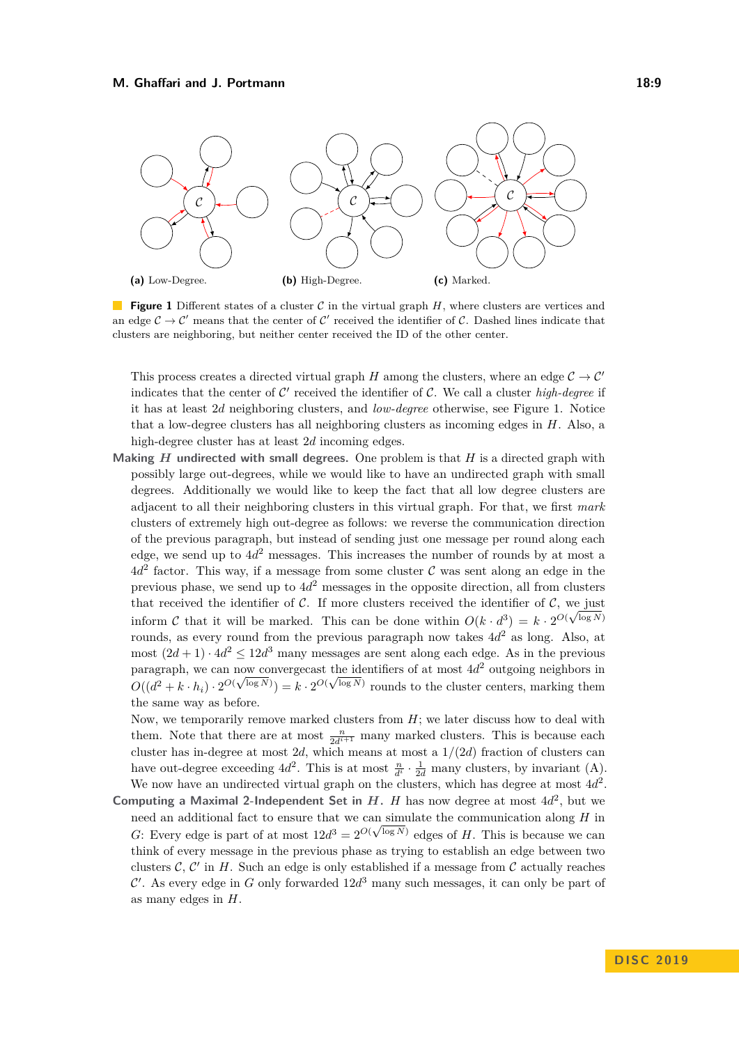<span id="page-8-0"></span>

**Figure 1** Different states of a cluster C in the virtual graph H, where clusters are vertices and an edge  $\mathcal{C} \to \mathcal{C}'$  means that the center of  $\mathcal{C}'$  received the identifier of  $\mathcal{C}$ . Dashed lines indicate that clusters are neighboring, but neither center received the ID of the other center.

This process creates a directed virtual graph *H* among the clusters, where an edge  $C \rightarrow C'$ indicates that the center of  $\mathcal{C}'$  received the identifier of  $\mathcal{C}$ . We call a cluster *high-degree* if it has at least 2*d* neighboring clusters, and *low-degree* otherwise, see Figure [1.](#page-8-0) Notice that a low-degree clusters has all neighboring clusters as incoming edges in *H*. Also, a high-degree cluster has at least 2*d* incoming edges.

**Making**  $H$  **undirected with small degrees.** One problem is that  $H$  is a directed graph with possibly large out-degrees, while we would like to have an undirected graph with small degrees. Additionally we would like to keep the fact that all low degree clusters are adjacent to all their neighboring clusters in this virtual graph. For that, we first *mark* clusters of extremely high out-degree as follows: we reverse the communication direction of the previous paragraph, but instead of sending just one message per round along each edge, we send up to 4*d* <sup>2</sup> messages. This increases the number of rounds by at most a  $4d<sup>2</sup>$  factor. This way, if a message from some cluster C was sent along an edge in the previous phase, we send up to 4*d* <sup>2</sup> messages in the opposite direction, all from clusters that received the identifier of C. If more clusters received the identifier of C, we just inform C that it will be marked. This can be done within  $O(k \cdot d^3) = k \cdot 2^{O(\sqrt{\log N})}$ rounds, as every round from the previous paragraph now takes 4*d* <sup>2</sup> as long. Also, at most  $(2d+1) \cdot 4d^2 \leq 12d^3$  many messages are sent along each edge. As in the previous paragraph, we can now converge ast the identifiers of at most  $4d^2$  outgoing neighbors in  $O((d^2 + k \cdot h_i) \cdot 2^{O(\sqrt{\log N})}) = k \cdot 2^{O(\sqrt{\log N})}$  rounds to the cluster centers, marking them the same way as before.

Now, we temporarily remove marked clusters from *H*; we later discuss how to deal with them. Note that there are at most  $\frac{n}{2d^{i+1}}$  many marked clusters. This is because each cluster has in-degree at most 2*d*, which means at most a 1*/*(2*d*) fraction of clusters can have out-degree exceeding  $4d^2$ . This is at most  $\frac{n}{d^i} \cdot \frac{1}{2d}$  many clusters, by invariant (A). We now have an undirected virtual graph on the clusters, which has degree at most  $4d^2$ .

**Computing a Maximal 2-Independent Set in**  $H$ **.**  $H$  **has now degree at most**  $4d^2$ **, but we** need an additional fact to ensure that we can simulate the communication along  $H$  in *G*: Every edge is part of at most  $12d^3 = 2^{O(\sqrt{\log N})}$  edges of *H*. This is because we can think of every message in the previous phase as trying to establish an edge between two clusters  $C, C'$  in  $H$ . Such an edge is only established if a message from  $C$  actually reaches  $\mathcal{C}'$ . As every edge in *G* only forwarded  $12d^3$  many such messages, it can only be part of as many edges in *H*.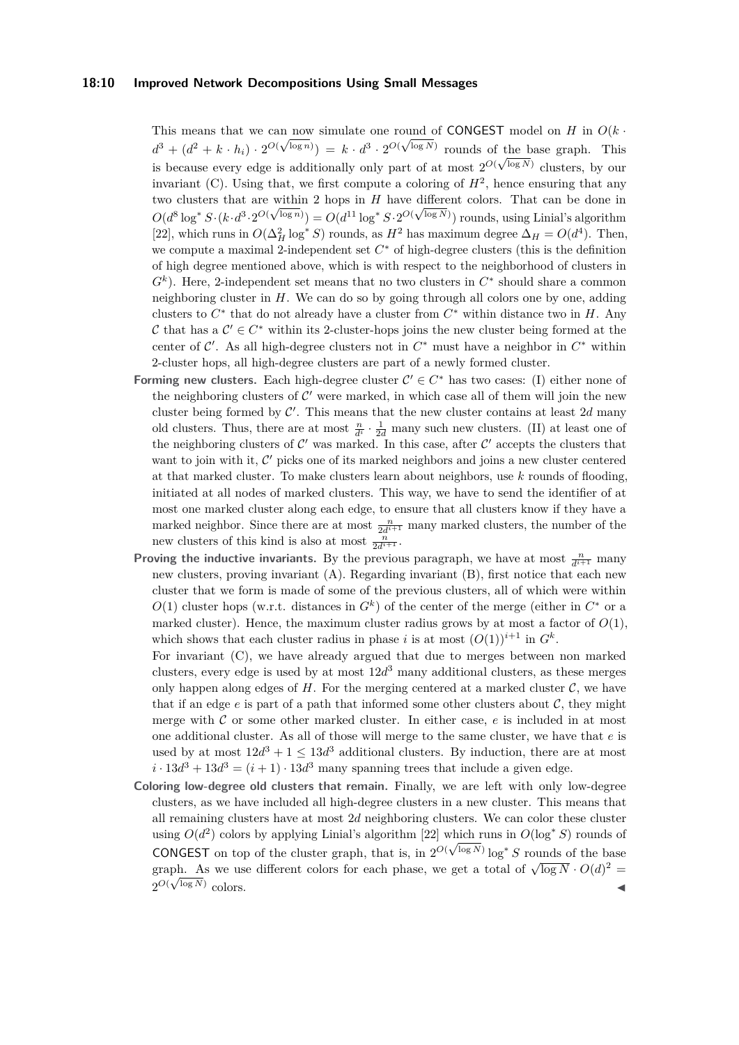## **18:10 Improved Network Decompositions Using Small Messages**

This means that we can now simulate one round of **CONGEST** model on *H* in  $O(k \cdot$  $d^3 + (d^2 + k \cdot h_i) \cdot 2^{O(\sqrt{\log n})} = k \cdot d^3 \cdot 2^{O(\sqrt{\log N})}$  rounds of the base graph. This  $a^2 + (a^2 + \kappa \cdot n_i) \cdot 2 \cdot \mathbf{v}^2 = \kappa \cdot a^2 \cdot 2 \cdot \mathbf{v}^2$  founds of the base graph. This is because every edge is additionally only part of at most  $2^{O(\sqrt{\log N})}$  clusters, by our invariant  $(C)$ . Using that, we first compute a coloring of  $H^2$ , hence ensuring that any two clusters that are within 2 hops in *H* have different colors. That can be done in  $O(d^8 \log^* S \cdot (k \cdot d^3 \cdot 2^{O(\sqrt{\log n})}) = O(d^{11} \log^* S \cdot 2^{O(\sqrt{\log N})})$  rounds, using Linial's algorithm [\[22\]](#page-15-2), which runs in  $O(\Delta_H^2 \log^* S)$  rounds, as  $H^2$  has maximum degree  $\Delta_H = O(d^4)$ . Then, we compute a maximal 2-independent set  $C^*$  of high-degree clusters (this is the definition of high degree mentioned above, which is with respect to the neighborhood of clusters in  $G<sup>k</sup>$ ). Here, 2-independent set means that no two clusters in  $C^*$  should share a common neighboring cluster in *H*. We can do so by going through all colors one by one, adding clusters to  $C^*$  that do not already have a cluster from  $C^*$  within distance two in  $H$ . Any C that has a  $\mathcal{C}' \in C^*$  within its 2-cluster-hops joins the new cluster being formed at the center of  $\mathcal{C}'$ . As all high-degree clusters not in  $C^*$  must have a neighbor in  $C^*$  within 2-cluster hops, all high-degree clusters are part of a newly formed cluster.

- **Forming new clusters.** Each high-degree cluster  $C' \in C^*$  has two cases: (I) either none of the neighboring clusters of  $\mathcal{C}'$  were marked, in which case all of them will join the new cluster being formed by  $\mathcal{C}'$ . This means that the new cluster contains at least 2d many old clusters. Thus, there are at most  $\frac{n}{d^i} \cdot \frac{1}{2d}$  many such new clusters. (II) at least one of the neighboring clusters of  $\mathcal{C}'$  was marked. In this case, after  $\mathcal{C}'$  accepts the clusters that want to join with it,  $\mathcal{C}'$  picks one of its marked neighbors and joins a new cluster centered at that marked cluster. To make clusters learn about neighbors, use *k* rounds of flooding, initiated at all nodes of marked clusters. This way, we have to send the identifier of at most one marked cluster along each edge, to ensure that all clusters know if they have a marked neighbor. Since there are at most  $\frac{n}{2d^{i+1}}$  many marked clusters, the number of the new clusters of this kind is also at most  $\frac{n}{2d^{i+1}}$ .
- **Proving the inductive invariants.** By the previous paragraph, we have at most  $\frac{n}{d^{i+1}}$  many new clusters, proving invariant (A). Regarding invariant (B), first notice that each new cluster that we form is made of some of the previous clusters, all of which were within  $O(1)$  cluster hops (w.r.t. distances in  $G<sup>k</sup>$ ) of the center of the merge (either in  $C^*$  or a marked cluster). Hence, the maximum cluster radius grows by at most a factor of  $O(1)$ , which shows that each cluster radius in phase *i* is at most  $(O(1))^{i+1}$  in  $G^k$ .

For invariant (C), we have already argued that due to merges between non marked clusters, every edge is used by at most 12*d* <sup>3</sup> many additional clusters, as these merges only happen along edges of  $H$ . For the merging centered at a marked cluster  $\mathcal{C}$ , we have that if an edge  $e$  is part of a path that informed some other clusters about  $C$ , they might merge with C or some other marked cluster. In either case, *e* is included in at most one additional cluster. As all of those will merge to the same cluster, we have that *e* is used by at most  $12d^3 + 1 \leq 13d^3$  additional clusters. By induction, there are at most  $i \cdot 13d^3 + 13d^3 = (i + 1) \cdot 13d^3$  many spanning trees that include a given edge.

**Coloring low-degree old clusters that remain.** Finally, we are left with only low-degree clusters, as we have included all high-degree clusters in a new cluster. This means that all remaining clusters have at most 2*d* neighboring clusters. We can color these cluster using  $O(d^2)$  colors by applying Linial's algorithm [\[22\]](#page-15-2) which runs in  $O(\log^* S)$  rounds of **CONGEST** on top of the cluster graph, that is, in  $2^{O(\sqrt{\log N})} \log^* S$  rounds of the base graph. As we use different colors for each phase, we get a total of  $\sqrt{\log N} \cdot O(d)^2$  =  $2^{O(\sqrt{\log N})}$ colors.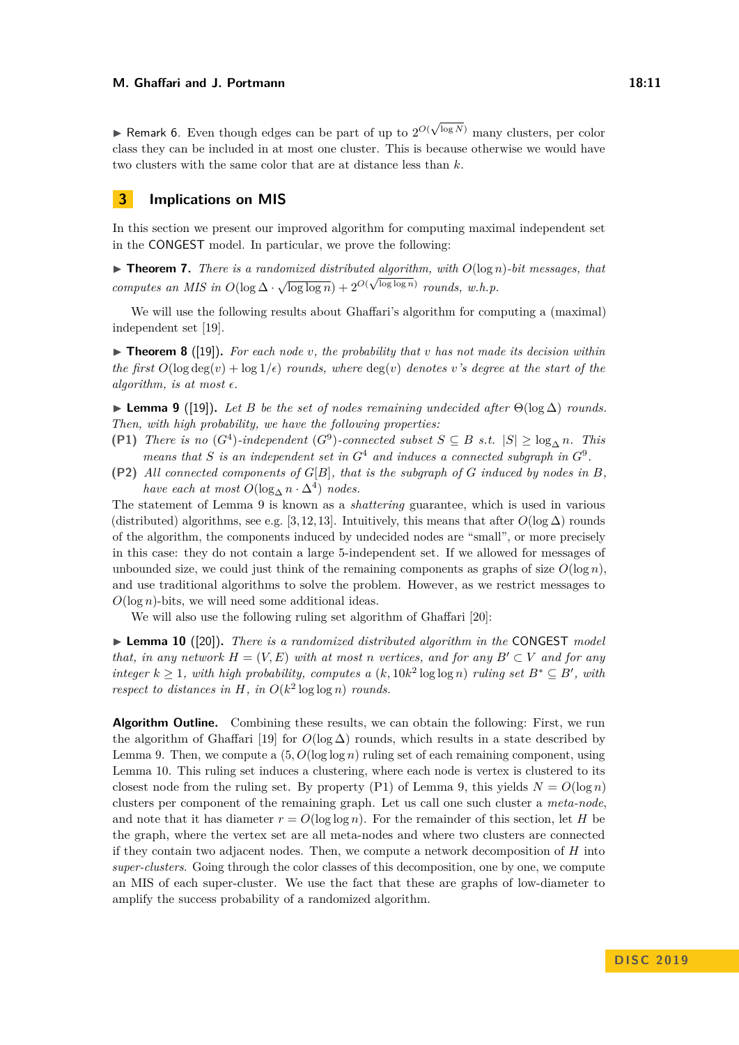► Remark 6. Even though edges can be part of up to  $2^{O(\sqrt{2})}$ log *<sup>N</sup>*) many clusters, per color class they can be included in at most one cluster. This is because otherwise we would have two clusters with the same color that are at distance less than *k*.

## **3 Implications on MIS**

In this section we present our improved algorithm for computing maximal independent set in the CONGEST model. In particular, we prove the following:

<span id="page-10-2"></span> $\blacktriangleright$  **Theorem 7.** *There is a randomized distributed algorithm, with*  $O(\log n)$ *-bit messages, that computes an MIS in*  $O(\log \Delta \cdot \sqrt{\log \log n}) + 2^{O(\sqrt{\log \log n})}$  *rounds, w.h.p.* 

We will use the following results about Ghaffari's algorithm for computing a (maximal) independent set [\[19\]](#page-15-11).

<span id="page-10-3"></span> $\triangleright$  **Theorem 8** ([\[19\]](#page-15-11)). For each node *v*, the probability that *v* has not made its decision within *the first*  $O(\log \deg(v) + \log 1/\epsilon)$  *rounds, where*  $\deg(v)$  *denotes v*'s degree at the start of the *algorithm, is at most*  $\epsilon$ .

<span id="page-10-0"></span>**► Lemma 9** ([\[19\]](#page-15-11)). Let *B* be the set of nodes remaining undecided after  $\Theta(\log \Delta)$  rounds. *Then, with high probability, we have the following properties:*

- (P1) *There is no*  $(G^4)$ -independent  $(G^9)$ -connected subset  $S \subseteq B$  *s.t.*  $|S| \geq \log_{\Delta} n$ *. This means that S is an independent set in*  $G^4$  *and induces a connected subgraph in*  $G^9$ *.*
- **(P2)** *All connected components of G*[*B*]*, that is the subgraph of G induced by nodes in B, have each at most*  $O(\log_{\Delta} n \cdot \Delta^4)$  *nodes.*

The statement of Lemma [9](#page-10-0) is known as a *shattering* guarantee, which is used in various (distributed) algorithms, see e.g. [\[3,](#page-14-9) [12,](#page-15-10) [13\]](#page-15-16). Intuitively, this means that after  $O(\log \Delta)$  rounds of the algorithm, the components induced by undecided nodes are "small", or more precisely in this case: they do not contain a large 5-independent set. If we allowed for messages of unbounded size, we could just think of the remaining components as graphs of size  $O(\log n)$ , and use traditional algorithms to solve the problem. However, as we restrict messages to  $O(\log n)$ -bits, we will need some additional ideas.

We will also use the following ruling set algorithm of Ghaffari [\[20\]](#page-15-5):

<span id="page-10-1"></span>▶ Lemma 10 ([\[20\]](#page-15-5)). *There is a randomized distributed algorithm in the* CONGEST *model that, in any network*  $H = (V, E)$  *with at most n vertices, and for any*  $B' \subset V$  *and for any integer*  $k \geq 1$ *, with high probability, computes a*  $(k, 10k^2 \log \log n)$  *ruling set*  $B^* \subseteq B'$ *, with respect to distances in*  $H$ *, in*  $O(k^2 \log \log n)$  *rounds.* 

**Algorithm Outline.** Combining these results, we can obtain the following: First, we run the algorithm of Ghaffari [\[19\]](#page-15-11) for  $O(\log \Delta)$  rounds, which results in a state described by Lemma [9.](#page-10-0) Then, we compute a  $(5, O(\log \log n))$  ruling set of each remaining component, using Lemma [10.](#page-10-1) This ruling set induces a clustering, where each node is vertex is clustered to its closest node from the ruling set. By property (P1) of Lemma [9,](#page-10-0) this yields  $N = O(\log n)$ clusters per component of the remaining graph. Let us call one such cluster a *meta-node*, and note that it has diameter  $r = O(\log \log n)$ . For the remainder of this section, let *H* be the graph, where the vertex set are all meta-nodes and where two clusters are connected if they contain two adjacent nodes. Then, we compute a network decomposition of *H* into *super-clusters*. Going through the color classes of this decomposition, one by one, we compute an MIS of each super-cluster. We use the fact that these are graphs of low-diameter to amplify the success probability of a randomized algorithm.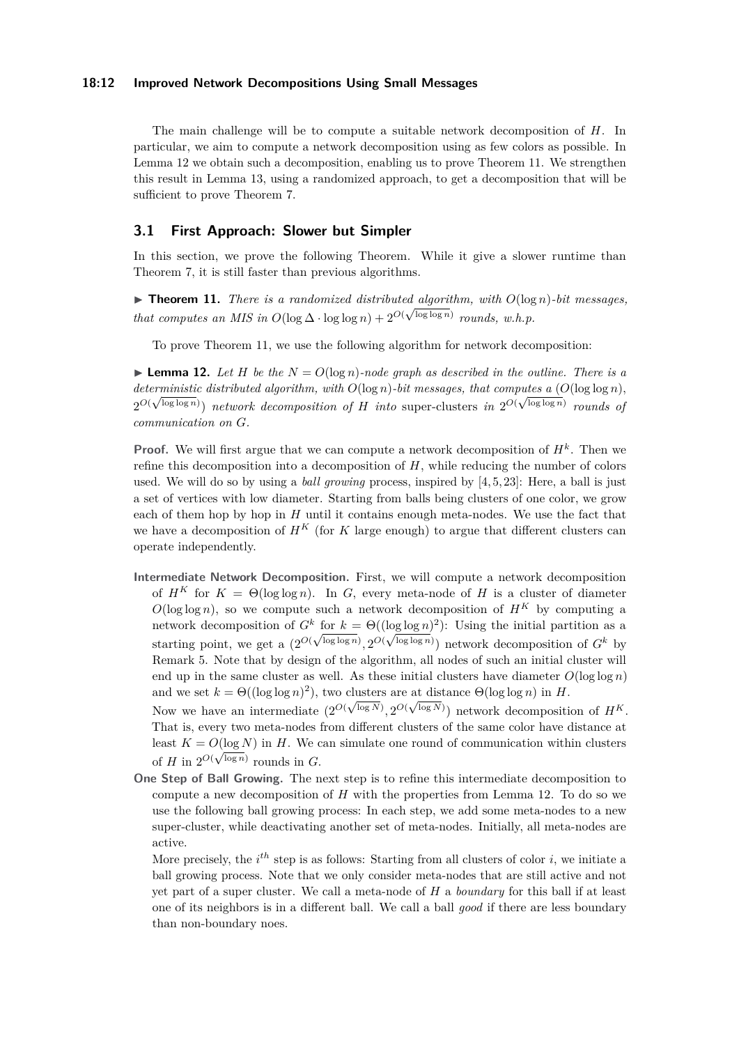### **18:12 Improved Network Decompositions Using Small Messages**

The main challenge will be to compute a suitable network decomposition of *H*. In particular, we aim to compute a network decomposition using as few colors as possible. In Lemma [12](#page-11-0) we obtain such a decomposition, enabling us to prove Theorem [11.](#page-11-1) We strengthen this result in Lemma [13,](#page-13-0) using a randomized approach, to get a decomposition that will be sufficient to prove Theorem [7.](#page-10-2)

## **3.1 First Approach: Slower but Simpler**

In this section, we prove the following Theorem. While it give a slower runtime than Theorem [7,](#page-10-2) it is still faster than previous algorithms.

<span id="page-11-1"></span> $\blacktriangleright$  **Theorem 11.** *There is a randomized distributed <u>algorithm</u>, with*  $O(\log n)$ *-bit messages, that computes an MIS in*  $O(\log \Delta \cdot \log \log n) + 2^{O(\sqrt{\log \log n})}$  *rounds, w.h.p.* 

To prove Theorem [11,](#page-11-1) we use the following algorithm for network decomposition:

<span id="page-11-0"></span>**Lemma 12.** Let *H* be the  $N = O(\log n)$ -node graph as described in the outline. There is a *deterministic distributed algorithm, with*  $O(\log n)$ *-bit messages, that computes a*  $(O(\log \log n))$ *,*  $2^{O(\sqrt{\log \log n})}$  *network decomposition of H into* super-clusters *in*  $2^{O(\sqrt{\log \log n})}$  *rounds of communication on G.*

**Proof.** We will first argue that we can compute a network decomposition of  $H<sup>k</sup>$ . Then we refine this decomposition into a decomposition of *H*, while reducing the number of colors used. We will do so by using a *ball growing* process, inspired by [\[4,](#page-14-4) [5,](#page-14-10) [23\]](#page-15-7): Here, a ball is just a set of vertices with low diameter. Starting from balls being clusters of one color, we grow each of them hop by hop in *H* until it contains enough meta-nodes. We use the fact that we have a decomposition of  $H^K$  (for K large enough) to argue that different clusters can operate independently.

**Intermediate Network Decomposition.** First, we will compute a network decomposition of  $H^K$  for  $K = \Theta(\log \log n)$ . In *G*, every meta-node of *H* is a cluster of diameter  $O(\log \log n)$ , so we compute such a network decomposition of  $H^{K}$  by computing a network decomposition of  $G^k$  for  $k = \Theta((\log \log n)^2)$ : Using the initial partition as a starting point, we get a  $(2^{O(\sqrt{\log \log n})}, 2^{O(\sqrt{\log \log n})})$  network decomposition of  $G^k$  by Remark [5.](#page-6-1) Note that by design of the algorithm, all nodes of such an initial cluster will end up in the same cluster as well. As these initial clusters have diameter  $O(\log \log n)$ and we set  $k = \Theta((\log \log n)^2)$ , two clusters are at distance  $\Theta(\log \log n)$  in *H*.

Now we have an intermediate  $(2^{O(\sqrt{\log N})}, 2^{O(\sqrt{\log N})})$  network decomposition of  $H^K$ . That is, every two meta-nodes from different clusters of the same color have distance at least  $K = O(\log N)$  in *H*. We can simulate one round of communication within clusters of *H* in  $2^{O(\sqrt{\log n})}$  rounds in *G*.

**One Step of Ball Growing.** The next step is to refine this intermediate decomposition to compute a new decomposition of *H* with the properties from Lemma [12.](#page-11-0) To do so we use the following ball growing process: In each step, we add some meta-nodes to a new super-cluster, while deactivating another set of meta-nodes. Initially, all meta-nodes are active.

More precisely, the  $i^{th}$  step is as follows: Starting from all clusters of color  $i$ , we initiate a ball growing process. Note that we only consider meta-nodes that are still active and not yet part of a super cluster. We call a meta-node of *H* a *boundary* for this ball if at least one of its neighbors is in a different ball. We call a ball *good* if there are less boundary than non-boundary noes.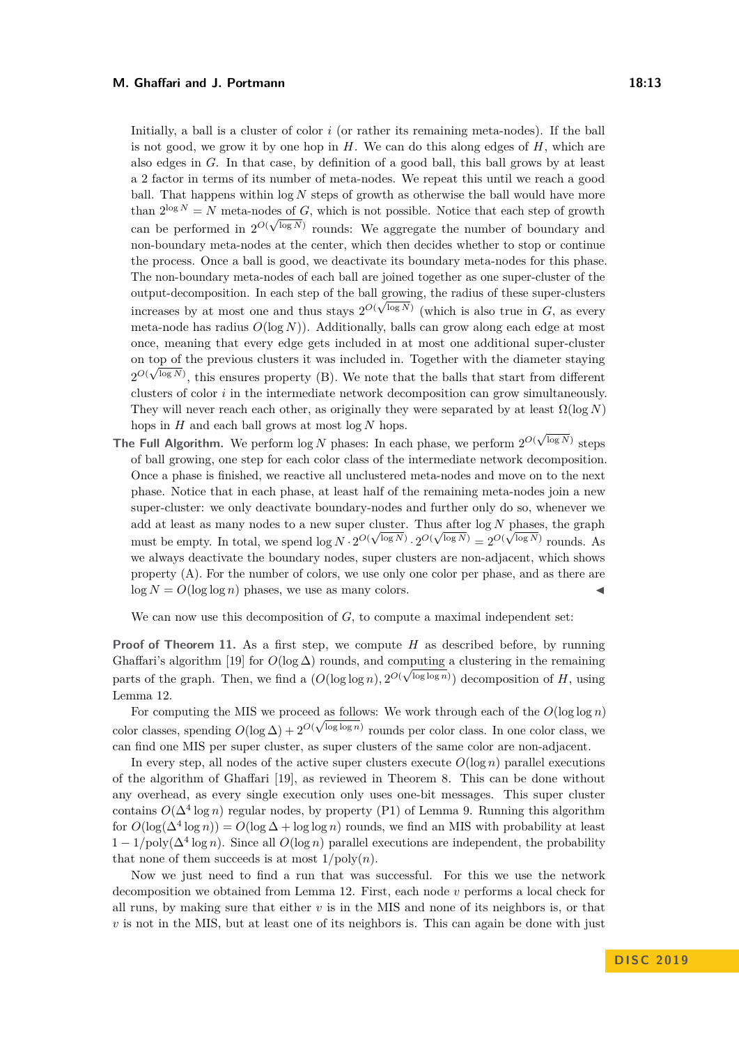Initially, a ball is a cluster of color *i* (or rather its remaining meta-nodes). If the ball is not good, we grow it by one hop in *H*. We can do this along edges of *H*, which are also edges in *G*. In that case, by definition of a good ball, this ball grows by at least a 2 factor in terms of its number of meta-nodes. We repeat this until we reach a good ball. That happens within log *N* steps of growth as otherwise the ball would have more than  $2^{\log N} = N$  meta-nodes of *G*, which is not possible. Notice that each step of growth can be performed in  $2^{O(\sqrt{\log N})}$  rounds: We aggregate the number of boundary and non-boundary meta-nodes at the center, which then decides whether to stop or continue the process. Once a ball is good, we deactivate its boundary meta-nodes for this phase. The non-boundary meta-nodes of each ball are joined together as one super-cluster of the output-decomposition. In each step of the ball growing, the radius of these super-clusters √ increases by at most one and thus stays  $2^{O(\sqrt{\log N})}$  (which is also true in *G*, as every meta-node has radius  $O(\log N)$ ). Additionally, balls can grow along each edge at most once, meaning that every edge gets included in at most one additional super-cluster on top of the previous clusters it was included in. Together with the diameter staying  $2^{O(\sqrt{\log N})}$ , this ensures property (B). We note that the balls that start from different clusters of color *i* in the intermediate network decomposition can grow simultaneously. They will never reach each other, as originally they were separated by at least  $\Omega(\log N)$ hops in *H* and each ball grows at most log *N* hops.

nops in *H* and each ball grows at most log *N* nops.<br>The Full Algorithm. We perform log *N* phases: In each phase, we perform  $2^{O(\sqrt{\log N})}$  steps of ball growing, one step for each color class of the intermediate network decomposition. Once a phase is finished, we reactive all unclustered meta-nodes and move on to the next phase. Notice that in each phase, at least half of the remaining meta-nodes join a new super-cluster: we only deactivate boundary-nodes and further only do so, whenever we add at least as many nodes to a new super cluster. Thus after  $\log N$  phases, the graph must be empty. In total, we spend  $\log N \cdot 2^{O(\sqrt{\log N})} \cdot 2^{O(\sqrt{\log N})} = 2^{O(\sqrt{\log N})}$  rounds. As we always deactivate the boundary nodes, super clusters are non-adjacent, which shows property (A). For the number of colors, we use only one color per phase, and as there are  $\log N = O(\log \log n)$  phases, we use as many colors.

We can now use this decomposition of  $G$ , to compute a maximal independent set:

**Proof of Theorem [11.](#page-11-1)** As a first step, we compute *H* as described before, by running Ghaffari's algorithm [\[19\]](#page-15-11) for  $O(\log \Delta)$  rounds, and computing a clustering in the remaining parts of the graph. Then, we find a  $(O(\log \log n), 2^{O(\sqrt{\log \log n}}))$  decomposition of *H*, using Lemma [12.](#page-11-0)

For computing the MIS we proceed as follows: We work through each of the  $O(\log \log n)$ color classes, spending  $O(\log \Delta) + 2^{O(\sqrt{\log \log n})}$  rounds per color class. In one color class, we can find one MIS per super cluster, as super clusters of the same color are non-adjacent.

In every step, all nodes of the active super clusters execute  $O(\log n)$  parallel executions of the algorithm of Ghaffari [\[19\]](#page-15-11), as reviewed in Theorem [8.](#page-10-3) This can be done without any overhead, as every single execution only uses one-bit messages. This super cluster contains  $O(\Delta^4 \log n)$  regular nodes, by property (P1) of Lemma [9.](#page-10-0) Running this algorithm for  $O(\log(\Delta^4 \log n)) = O(\log \Delta + \log \log n)$  rounds, we find an MIS with probability at least  $1 - 1/\text{poly}(\Delta^4 \log n)$ . Since all  $O(\log n)$  parallel executions are independent, the probability that none of them succeeds is at most  $1/poly(n)$ .

Now we just need to find a run that was successful. For this we use the network decomposition we obtained from Lemma [12.](#page-11-0) First, each node *v* performs a local check for all runs, by making sure that either *v* is in the MIS and none of its neighbors is, or that *v* is not in the MIS, but at least one of its neighbors is. This can again be done with just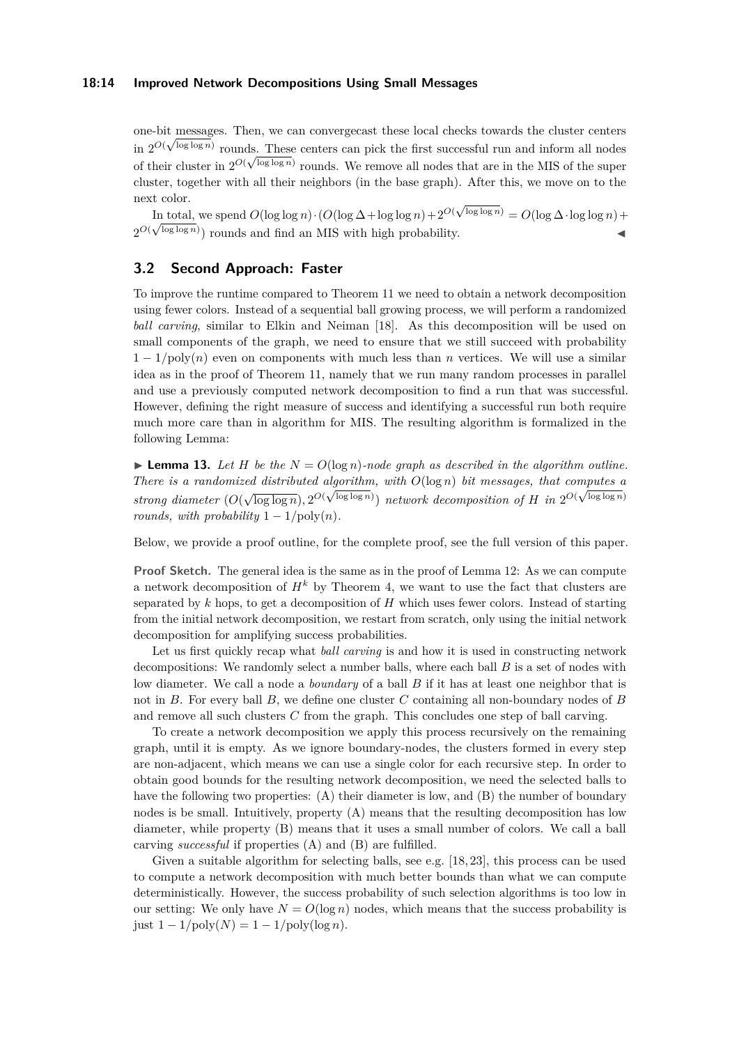### **18:14 Improved Network Decompositions Using Small Messages**

one-bit messages. Then, we can convergecast these local checks towards the cluster centers √ in  $2^{O(\sqrt{\log \log n})}$  rounds. These centers can pick the first successful run and inform all nodes of their cluster in  $2^{O(\sqrt{\log \log n})}$  rounds. We remove all nodes that are in the MIS of the super cluster, together with all their neighbors (in the base graph). After this, we move on to the next color. √

In total, we spend  $O(\log \log n) \cdot (O(\log \Delta + \log \log n) + 2^{O(\Delta n)}$ In total, we spend  $O(\log \log n) \cdot (O(\log \Delta + \log \log n) + 2^{O(\sqrt{\log \log n})} = O(\log \Delta \cdot \log \log n) +$  $2^{O(\sqrt{\log \log n})}$  rounds and find an MIS with high probability.

## **3.2 Second Approach: Faster**

To improve the runtime compared to Theorem [11](#page-11-1) we need to obtain a network decomposition using fewer colors. Instead of a sequential ball growing process, we will perform a randomized *ball carving*, similar to Elkin and Neiman [\[18\]](#page-15-8). As this decomposition will be used on small components of the graph, we need to ensure that we still succeed with probability  $1 - 1/poly(n)$  even on components with much less than *n* vertices. We will use a similar idea as in the proof of Theorem [11,](#page-11-1) namely that we run many random processes in parallel and use a previously computed network decomposition to find a run that was successful. However, defining the right measure of success and identifying a successful run both require much more care than in algorithm for MIS. The resulting algorithm is formalized in the following Lemma:

<span id="page-13-0"></span>**Lemma 13.** Let *H* be the  $N = O(\log n)$ -node graph as described in the algorithm outline. *There is a randomized distributed algorithm, with*  $O(\log n)$  *bit messages, that computes a strong diameter*  $(O(\sqrt{\log \log n}), 2^{O(\sqrt{\log \log n}}))$  *network decomposition of H in*  $2^{O(\sqrt{\log \log n})}$ *rounds, with probability*  $1 - 1/\text{poly}(n)$ *.* 

Below, we provide a proof outline, for the complete proof, see the full version of this paper.

**Proof Sketch.** The general idea is the same as in the proof of Lemma [12:](#page-11-0) As we can compute a network decomposition of  $H^k$  by Theorem [4,](#page-6-0) we want to use the fact that clusters are separated by *k* hops, to get a decomposition of *H* which uses fewer colors. Instead of starting from the initial network decomposition, we restart from scratch, only using the initial network decomposition for amplifying success probabilities.

Let us first quickly recap what *ball carving* is and how it is used in constructing network decompositions: We randomly select a number balls, where each ball *B* is a set of nodes with low diameter. We call a node a *boundary* of a ball *B* if it has at least one neighbor that is not in *B*. For every ball *B*, we define one cluster *C* containing all non-boundary nodes of *B* and remove all such clusters *C* from the graph. This concludes one step of ball carving.

To create a network decomposition we apply this process recursively on the remaining graph, until it is empty. As we ignore boundary-nodes, the clusters formed in every step are non-adjacent, which means we can use a single color for each recursive step. In order to obtain good bounds for the resulting network decomposition, we need the selected balls to have the following two properties: (A) their diameter is low, and (B) the number of boundary nodes is be small. Intuitively, property (A) means that the resulting decomposition has low diameter, while property (B) means that it uses a small number of colors. We call a ball carving *successful* if properties (A) and (B) are fulfilled.

Given a suitable algorithm for selecting balls, see e.g. [\[18,](#page-15-8) [23\]](#page-15-7), this process can be used to compute a network decomposition with much better bounds than what we can compute deterministically. However, the success probability of such selection algorithms is too low in our setting: We only have  $N = O(\log n)$  nodes, which means that the success probability is  $just 1 - 1/poly(N) = 1 - 1/poly(log n).$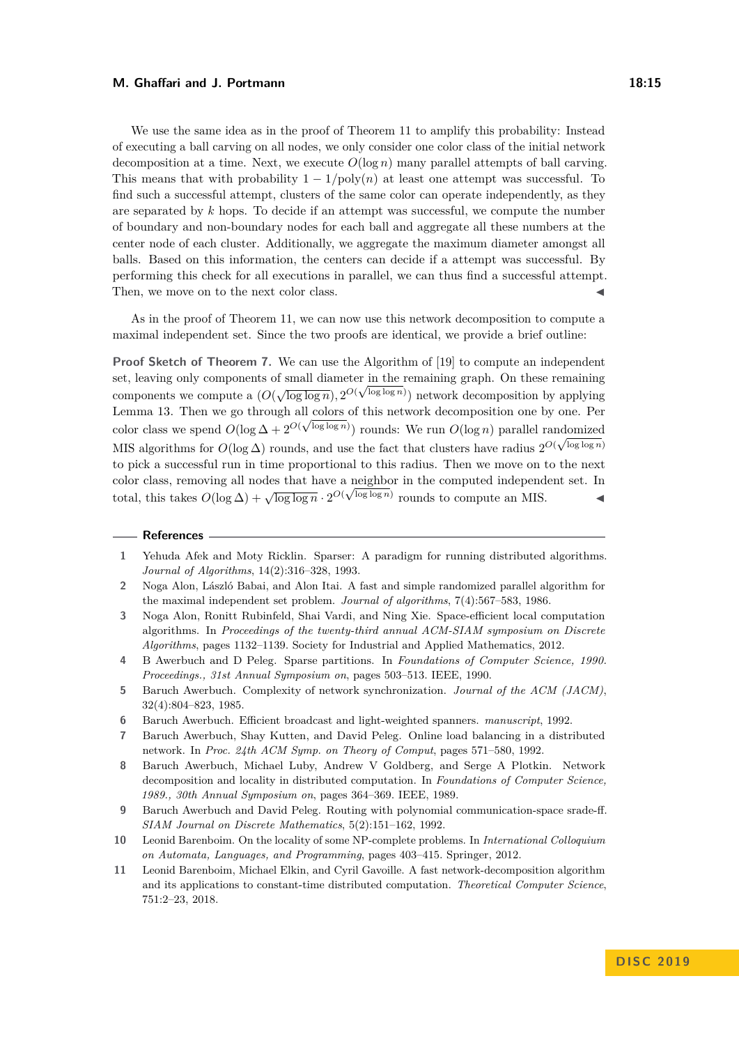We use the same idea as in the proof of Theorem [11](#page-11-1) to amplify this probability: Instead of executing a ball carving on all nodes, we only consider one color class of the initial network decomposition at a time. Next, we execute  $O(\log n)$  many parallel attempts of ball carving. This means that with probability  $1 - 1/poly(n)$  at least one attempt was successful. To find such a successful attempt, clusters of the same color can operate independently, as they are separated by *k* hops. To decide if an attempt was successful, we compute the number of boundary and non-boundary nodes for each ball and aggregate all these numbers at the center node of each cluster. Additionally, we aggregate the maximum diameter amongst all balls. Based on this information, the centers can decide if a attempt was successful. By performing this check for all executions in parallel, we can thus find a successful attempt. Then, we move on to the next color class.

As in the proof of Theorem [11,](#page-11-1) we can now use this network decomposition to compute a maximal independent set. Since the two proofs are identical, we provide a brief outline:

**Proof Sketch of Theorem [7.](#page-10-2)** We can use the Algorithm of [\[19\]](#page-15-11) to compute an independent set, leaving only components of small diameter in the remaining graph. On these remaining components we compute a  $(O(\sqrt{\log \log n}), 2^{O(\sqrt{\log \log n})})$  network decomposition by applying Lemma [13.](#page-13-0) Then we go through all colors of this network decomposition one by one. Per color class we spend  $O(\log \Delta + 2^{O(\sqrt{\log \log n})})$  rounds: We run  $O(\log n)$  parallel randomized MIS algorithms for  $O(\log \Delta)$  rounds, and use the fact that clusters have radius  $2^{O(\sqrt{\log \log n})}$ to pick a successful run in time proportional to this radius. Then we move on to the next color class, removing all nodes that have a neighbor in the computed independent set. In total, this takes  $O(\log \Delta) + \sqrt{\log \log n} \cdot 2^{O(\sqrt{\log \log n})}$  rounds to compute an MIS.  $\triangleleft$ 

#### **References**

- <span id="page-14-6"></span>**1** Yehuda Afek and Moty Ricklin. Sparser: A paradigm for running distributed algorithms. *Journal of Algorithms*, 14(2):316–328, 1993.
- <span id="page-14-3"></span>**2** Noga Alon, László Babai, and Alon Itai. A fast and simple randomized parallel algorithm for the maximal independent set problem. *Journal of algorithms*, 7(4):567–583, 1986.
- <span id="page-14-9"></span>**3** Noga Alon, Ronitt Rubinfeld, Shai Vardi, and Ning Xie. Space-efficient local computation algorithms. In *Proceedings of the twenty-third annual ACM-SIAM symposium on Discrete Algorithms*, pages 1132–1139. Society for Industrial and Applied Mathematics, 2012.
- <span id="page-14-4"></span>**4** B Awerbuch and D Peleg. Sparse partitions. In *Foundations of Computer Science, 1990. Proceedings., 31st Annual Symposium on*, pages 503–513. IEEE, 1990.
- <span id="page-14-10"></span>**5** Baruch Awerbuch. Complexity of network synchronization. *Journal of the ACM (JACM)*, 32(4):804–823, 1985.
- <span id="page-14-8"></span>**6** Baruch Awerbuch. Efficient broadcast and light-weighted spanners. *manuscript*, 1992.
- <span id="page-14-7"></span>**7** Baruch Awerbuch, Shay Kutten, and David Peleg. Online load balancing in a distributed network. In *Proc. 24th ACM Symp. on Theory of Comput*, pages 571–580, 1992.
- <span id="page-14-0"></span>**8** Baruch Awerbuch, Michael Luby, Andrew V Goldberg, and Serge A Plotkin. Network decomposition and locality in distributed computation. In *Foundations of Computer Science, 1989., 30th Annual Symposium on*, pages 364–369. IEEE, 1989.
- <span id="page-14-5"></span>**9** Baruch Awerbuch and David Peleg. Routing with polynomial communication-space srade-ff. *SIAM Journal on Discrete Mathematics*, 5(2):151–162, 1992.
- <span id="page-14-1"></span>**10** Leonid Barenboim. On the locality of some NP-complete problems. In *International Colloquium on Automata, Languages, and Programming*, pages 403–415. Springer, 2012.
- <span id="page-14-2"></span>**11** Leonid Barenboim, Michael Elkin, and Cyril Gavoille. A fast network-decomposition algorithm and its applications to constant-time distributed computation. *Theoretical Computer Science*, 751:2–23, 2018.